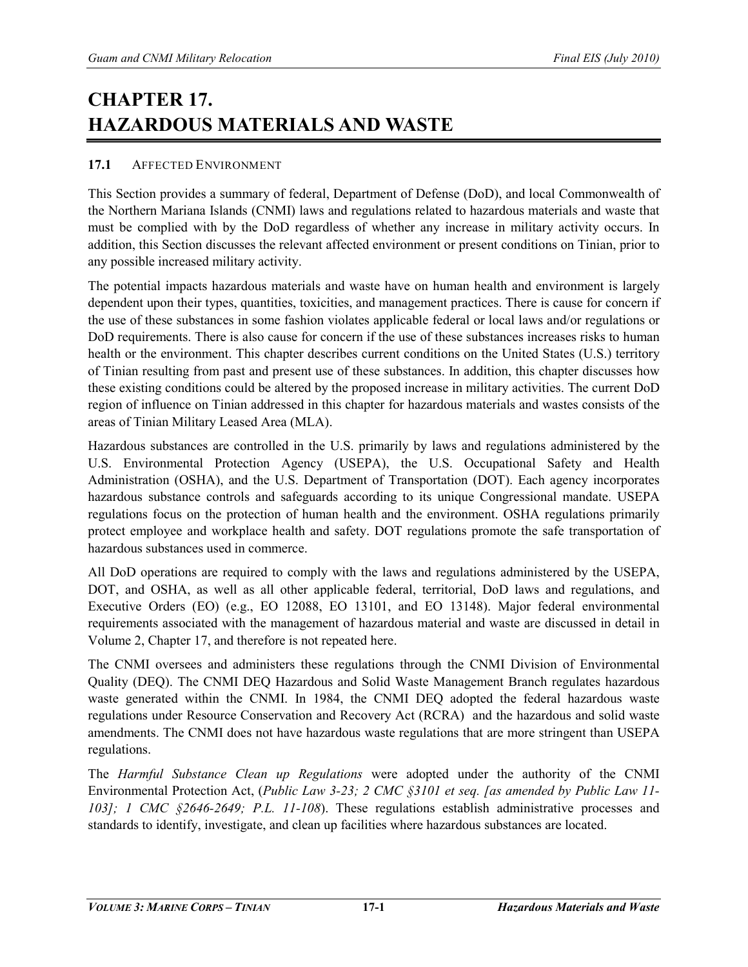# **CHAPTER 17. HAZARDOUS MATERIALS AND WASTE**

## **17.1** AFFECTED ENVIRONMENT

This Section provides a summary of federal, Department of Defense (DoD), and local Commonwealth of the Northern Mariana Islands (CNMI) laws and regulations related to hazardous materials and waste that must be complied with by the DoD regardless of whether any increase in military activity occurs. In addition, this Section discusses the relevant affected environment or present conditions on Tinian, prior to any possible increased military activity.

The potential impacts hazardous materials and waste have on human health and environment is largely dependent upon their types, quantities, toxicities, and management practices. There is cause for concern if the use of these substances in some fashion violates applicable federal or local laws and/or regulations or DoD requirements. There is also cause for concern if the use of these substances increases risks to human health or the environment. This chapter describes current conditions on the United States (U.S.) territory of Tinian resulting from past and present use of these substances. In addition, this chapter discusses how these existing conditions could be altered by the proposed increase in military activities. The current DoD region of influence on Tinian addressed in this chapter for hazardous materials and wastes consists of the areas of Tinian Military Leased Area (MLA).

Hazardous substances are controlled in the U.S. primarily by laws and regulations administered by the U.S. Environmental Protection Agency (USEPA), the U.S. Occupational Safety and Health Administration (OSHA), and the U.S. Department of Transportation (DOT). Each agency incorporates hazardous substance controls and safeguards according to its unique Congressional mandate. USEPA regulations focus on the protection of human health and the environment. OSHA regulations primarily protect employee and workplace health and safety. DOT regulations promote the safe transportation of hazardous substances used in commerce.

All DoD operations are required to comply with the laws and regulations administered by the USEPA, DOT, and OSHA, as well as all other applicable federal, territorial, DoD laws and regulations, and Executive Orders (EO) (e.g., EO 12088, EO 13101, and EO 13148). Major federal environmental requirements associated with the management of hazardous material and waste are discussed in detail in Volume 2, Chapter 17, and therefore is not repeated here.

The CNMI oversees and administers these regulations through the CNMI Division of Environmental Quality (DEQ). The CNMI DEQ Hazardous and Solid Waste Management Branch regulates hazardous waste generated within the CNMI. In 1984, the CNMI DEQ adopted the federal hazardous waste regulations under Resource Conservation and Recovery Act (RCRA) and the hazardous and solid waste amendments. The CNMI does not have hazardous waste regulations that are more stringent than USEPA regulations.

The *Harmful Substance Clean up Regulations* were adopted under the authority of the CNMI Environmental Protection Act, (*Public Law 3-23; 2 CMC §3101 et seq. [as amended by Public Law 11- 103]; 1 CMC §2646-2649; P.L. 11-108*). These regulations establish administrative processes and standards to identify, investigate, and clean up facilities where hazardous substances are located.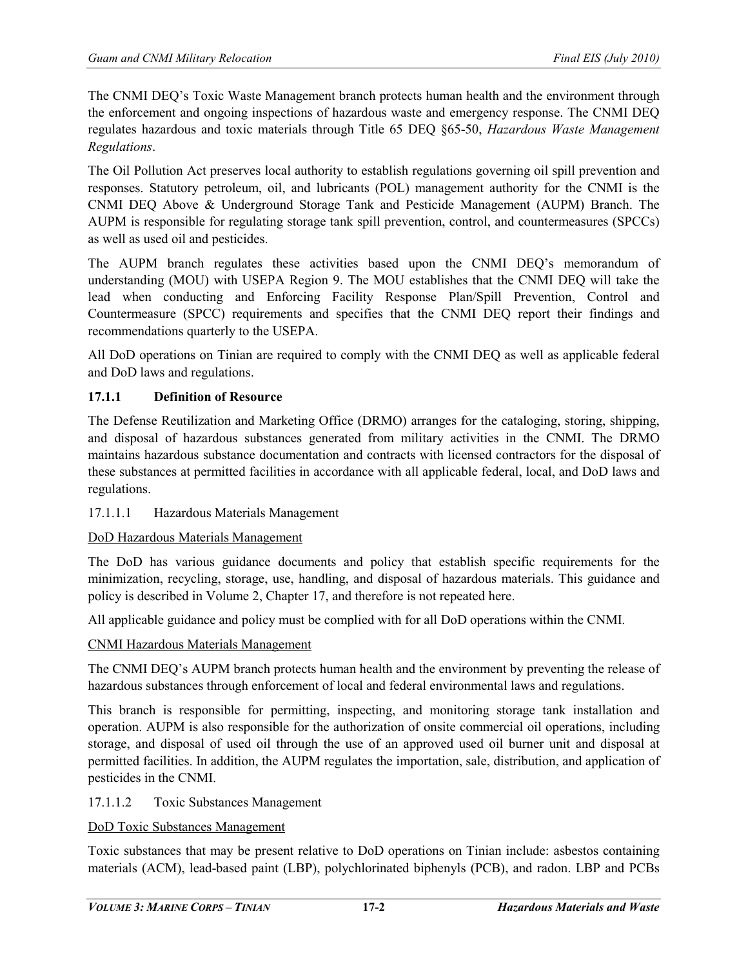The CNMI DEQ's Toxic Waste Management branch protects human health and the environment through the enforcement and ongoing inspections of hazardous waste and emergency response. The CNMI DEQ regulates hazardous and toxic materials through Title 65 DEQ §65-50, *Hazardous Waste Management Regulations*.

The Oil Pollution Act preserves local authority to establish regulations governing oil spill prevention and responses. Statutory petroleum, oil, and lubricants (POL) management authority for the CNMI is the CNMI DEQ Above & Underground Storage Tank and Pesticide Management (AUPM) Branch. The AUPM is responsible for regulating storage tank spill prevention, control, and countermeasures (SPCCs) as well as used oil and pesticides.

The AUPM branch regulates these activities based upon the CNMI DEQ's memorandum of understanding (MOU) with USEPA Region 9. The MOU establishes that the CNMI DEQ will take the lead when conducting and Enforcing Facility Response Plan/Spill Prevention, Control and Countermeasure (SPCC) requirements and specifies that the CNMI DEQ report their findings and recommendations quarterly to the USEPA.

All DoD operations on Tinian are required to comply with the CNMI DEQ as well as applicable federal and DoD laws and regulations.

# **17.1.1 Definition of Resource**

The Defense Reutilization and Marketing Office (DRMO) arranges for the cataloging, storing, shipping, and disposal of hazardous substances generated from military activities in the CNMI. The DRMO maintains hazardous substance documentation and contracts with licensed contractors for the disposal of these substances at permitted facilities in accordance with all applicable federal, local, and DoD laws and regulations.

# 17.1.1.1 Hazardous Materials Management

# DoD Hazardous Materials Management

The DoD has various guidance documents and policy that establish specific requirements for the minimization, recycling, storage, use, handling, and disposal of hazardous materials. This guidance and policy is described in Volume 2, Chapter 17, and therefore is not repeated here.

All applicable guidance and policy must be complied with for all DoD operations within the CNMI.

# CNMI Hazardous Materials Management

The CNMI DEQ's AUPM branch protects human health and the environment by preventing the release of hazardous substances through enforcement of local and federal environmental laws and regulations.

This branch is responsible for permitting, inspecting, and monitoring storage tank installation and operation. AUPM is also responsible for the authorization of onsite commercial oil operations, including storage, and disposal of used oil through the use of an approved used oil burner unit and disposal at permitted facilities. In addition, the AUPM regulates the importation, sale, distribution, and application of pesticides in the CNMI.

#### 17.1.1.2 Toxic Substances Management

#### DoD Toxic Substances Management

Toxic substances that may be present relative to DoD operations on Tinian include: asbestos containing materials (ACM), lead-based paint (LBP), polychlorinated biphenyls (PCB), and radon. LBP and PCBs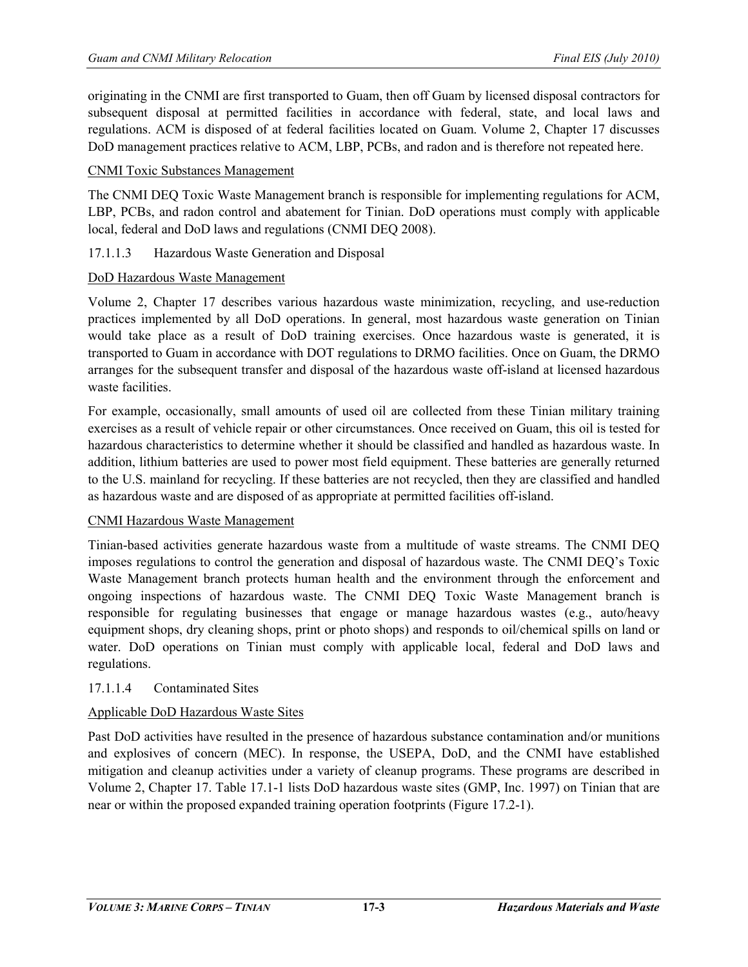originating in the CNMI are first transported to Guam, then off Guam by licensed disposal contractors for subsequent disposal at permitted facilities in accordance with federal, state, and local laws and regulations. ACM is disposed of at federal facilities located on Guam. Volume 2, Chapter 17 discusses DoD management practices relative to ACM, LBP, PCBs, and radon and is therefore not repeated here.

#### CNMI Toxic Substances Management

The CNMI DEQ Toxic Waste Management branch is responsible for implementing regulations for ACM, LBP, PCBs, and radon control and abatement for Tinian. DoD operations must comply with applicable local, federal and DoD laws and regulations (CNMI DEQ 2008).

#### 17.1.1.3 Hazardous Waste Generation and Disposal

#### DoD Hazardous Waste Management

Volume 2, Chapter 17 describes various hazardous waste minimization, recycling, and use-reduction practices implemented by all DoD operations. In general, most hazardous waste generation on Tinian would take place as a result of DoD training exercises. Once hazardous waste is generated, it is transported to Guam in accordance with DOT regulations to DRMO facilities. Once on Guam, the DRMO arranges for the subsequent transfer and disposal of the hazardous waste off-island at licensed hazardous waste facilities.

For example, occasionally, small amounts of used oil are collected from these Tinian military training exercises as a result of vehicle repair or other circumstances. Once received on Guam, this oil is tested for hazardous characteristics to determine whether it should be classified and handled as hazardous waste. In addition, lithium batteries are used to power most field equipment. These batteries are generally returned to the U.S. mainland for recycling. If these batteries are not recycled, then they are classified and handled as hazardous waste and are disposed of as appropriate at permitted facilities off-island.

#### CNMI Hazardous Waste Management

Tinian-based activities generate hazardous waste from a multitude of waste streams. The CNMI DEQ imposes regulations to control the generation and disposal of hazardous waste. The CNMI DEQ's Toxic Waste Management branch protects human health and the environment through the enforcement and ongoing inspections of hazardous waste. The CNMI DEQ Toxic Waste Management branch is responsible for regulating businesses that engage or manage hazardous wastes (e.g., auto/heavy equipment shops, dry cleaning shops, print or photo shops) and responds to oil/chemical spills on land or water. DoD operations on Tinian must comply with applicable local, federal and DoD laws and regulations.

#### 17.1.1.4 Contaminated Sites

# Applicable DoD Hazardous Waste Sites

Past DoD activities have resulted in the presence of hazardous substance contamination and/or munitions and explosives of concern (MEC). In response, the USEPA, DoD, and the CNMI have established mitigation and cleanup activities under a variety of cleanup programs. These programs are described in Volume 2, Chapter 17. Table 17.1-1 lists DoD hazardous waste sites (GMP, Inc. 1997) on Tinian that are near or within the proposed expanded training operation footprints (Figure 17.2-1).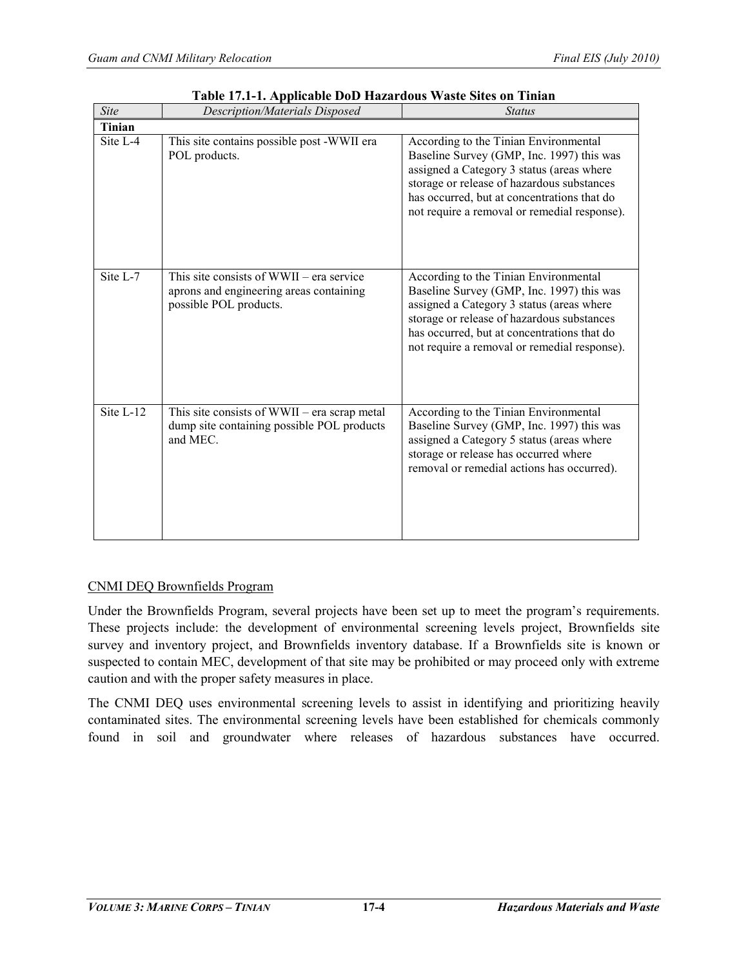| <b>Site</b> | Description/Materials Disposed                                                                                  | <b>Status</b>                                                                                                                                                                                                                                                                |
|-------------|-----------------------------------------------------------------------------------------------------------------|------------------------------------------------------------------------------------------------------------------------------------------------------------------------------------------------------------------------------------------------------------------------------|
| Tinian      |                                                                                                                 |                                                                                                                                                                                                                                                                              |
| Site $L-4$  | This site contains possible post -WWII era<br>POL products.                                                     | According to the Tinian Environmental<br>Baseline Survey (GMP, Inc. 1997) this was<br>assigned a Category 3 status (areas where<br>storage or release of hazardous substances<br>has occurred, but at concentrations that do<br>not require a removal or remedial response). |
| Site L-7    | This site consists of $WWII - era$ service<br>aprons and engineering areas containing<br>possible POL products. | According to the Tinian Environmental<br>Baseline Survey (GMP, Inc. 1997) this was<br>assigned a Category 3 status (areas where<br>storage or release of hazardous substances<br>has occurred, but at concentrations that do<br>not require a removal or remedial response). |
| Site $L-12$ | This site consists of WWII – era scrap metal<br>dump site containing possible POL products<br>and MEC.          | According to the Tinian Environmental<br>Baseline Survey (GMP, Inc. 1997) this was<br>assigned a Category 5 status (areas where<br>storage or release has occurred where<br>removal or remedial actions has occurred).                                                       |

#### **Table 17.1-1. Applicable DoD Hazardous Waste Sites on Tinian**

#### CNMI DEQ Brownfields Program

Under the Brownfields Program, several projects have been set up to meet the program's requirements. These projects include: the development of environmental screening levels project, Brownfields site survey and inventory project, and Brownfields inventory database. If a Brownfields site is known or suspected to contain MEC, development of that site may be prohibited or may proceed only with extreme caution and with the proper safety measures in place.

The CNMI DEQ uses environmental screening levels to assist in identifying and prioritizing heavily contaminated sites. The environmental screening levels have been established for chemicals commonly found in soil and groundwater where releases of hazardous substances have occurred.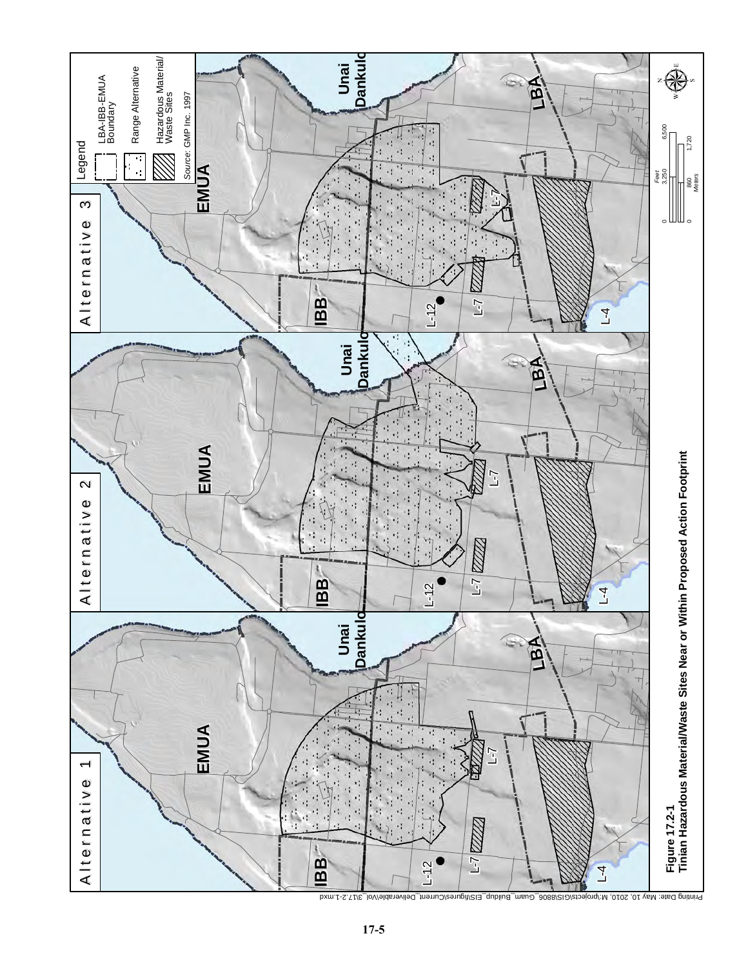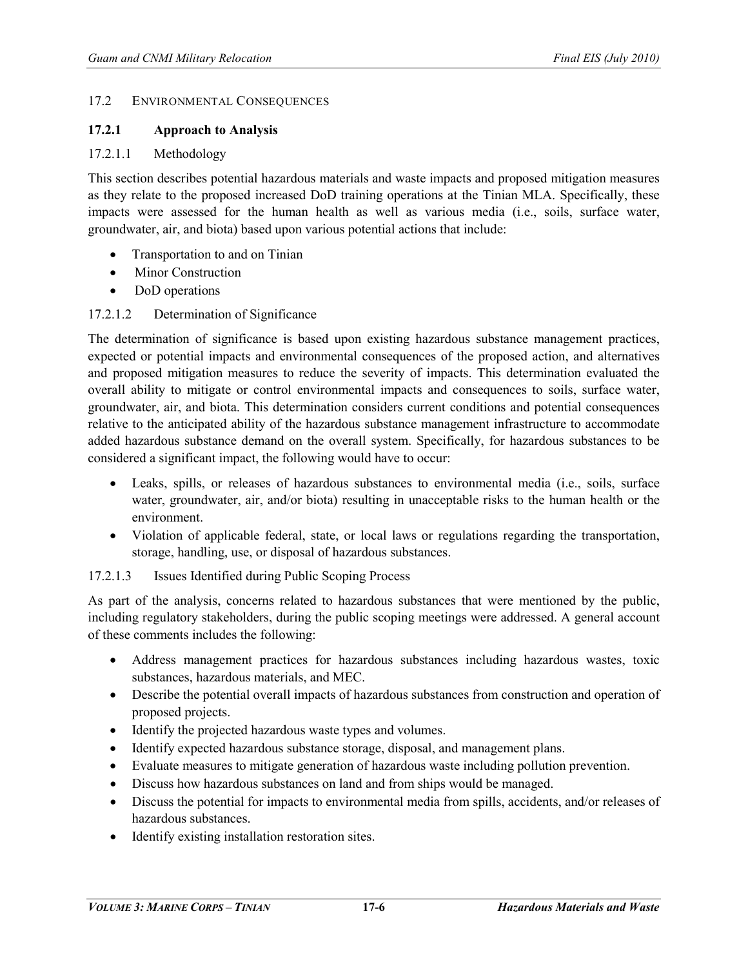#### 17.2 ENVIRONMENTAL CONSEQUENCES

#### **17.2.1 Approach to Analysis**

#### 17.2.1.1 Methodology

This section describes potential hazardous materials and waste impacts and proposed mitigation measures as they relate to the proposed increased DoD training operations at the Tinian MLA. Specifically, these impacts were assessed for the human health as well as various media (i.e., soils, surface water, groundwater, air, and biota) based upon various potential actions that include:

- Transportation to and on Tinian
- Minor Construction
- DoD operations

#### 17.2.1.2 Determination of Significance

The determination of significance is based upon existing hazardous substance management practices, expected or potential impacts and environmental consequences of the proposed action, and alternatives and proposed mitigation measures to reduce the severity of impacts. This determination evaluated the overall ability to mitigate or control environmental impacts and consequences to soils, surface water, groundwater, air, and biota. This determination considers current conditions and potential consequences relative to the anticipated ability of the hazardous substance management infrastructure to accommodate added hazardous substance demand on the overall system. Specifically, for hazardous substances to be considered a significant impact, the following would have to occur:

- Leaks, spills, or releases of hazardous substances to environmental media (i.e., soils, surface water, groundwater, air, and/or biota) resulting in unacceptable risks to the human health or the environment.
- Violation of applicable federal, state, or local laws or regulations regarding the transportation, storage, handling, use, or disposal of hazardous substances.

#### 17.2.1.3 Issues Identified during Public Scoping Process

As part of the analysis, concerns related to hazardous substances that were mentioned by the public, including regulatory stakeholders, during the public scoping meetings were addressed. A general account of these comments includes the following:

- Address management practices for hazardous substances including hazardous wastes, toxic substances, hazardous materials, and MEC.
- Describe the potential overall impacts of hazardous substances from construction and operation of proposed projects.
- Identify the projected hazardous waste types and volumes.
- Identify expected hazardous substance storage, disposal, and management plans.
- Evaluate measures to mitigate generation of hazardous waste including pollution prevention.
- Discuss how hazardous substances on land and from ships would be managed.
- Discuss the potential for impacts to environmental media from spills, accidents, and/or releases of hazardous substances.
- Identify existing installation restoration sites.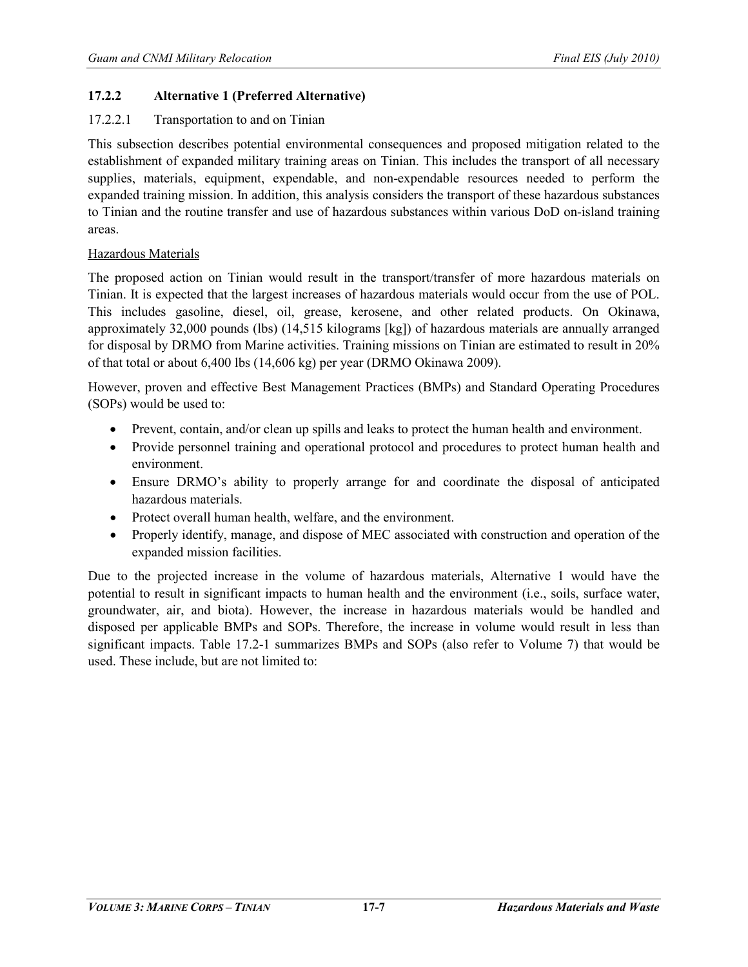# **17.2.2 Alternative 1 (Preferred Alternative)**

### 17.2.2.1 Transportation to and on Tinian

This subsection describes potential environmental consequences and proposed mitigation related to the establishment of expanded military training areas on Tinian. This includes the transport of all necessary supplies, materials, equipment, expendable, and non-expendable resources needed to perform the expanded training mission. In addition, this analysis considers the transport of these hazardous substances to Tinian and the routine transfer and use of hazardous substances within various DoD on-island training areas.

# Hazardous Materials

The proposed action on Tinian would result in the transport/transfer of more hazardous materials on Tinian. It is expected that the largest increases of hazardous materials would occur from the use of POL. This includes gasoline, diesel, oil, grease, kerosene, and other related products. On Okinawa, approximately 32,000 pounds (lbs) (14,515 kilograms [kg]) of hazardous materials are annually arranged for disposal by DRMO from Marine activities. Training missions on Tinian are estimated to result in 20% of that total or about 6,400 lbs (14,606 kg) per year (DRMO Okinawa 2009).

However, proven and effective Best Management Practices (BMPs) and Standard Operating Procedures (SOPs) would be used to:

- Prevent, contain, and/or clean up spills and leaks to protect the human health and environment.
- Provide personnel training and operational protocol and procedures to protect human health and environment.
- Ensure DRMO's ability to properly arrange for and coordinate the disposal of anticipated hazardous materials.
- Protect overall human health, welfare, and the environment.
- Properly identify, manage, and dispose of MEC associated with construction and operation of the expanded mission facilities.

Due to the projected increase in the volume of hazardous materials, Alternative 1 would have the potential to result in significant impacts to human health and the environment (i.e., soils, surface water, groundwater, air, and biota). However, the increase in hazardous materials would be handled and disposed per applicable BMPs and SOPs. Therefore, the increase in volume would result in less than significant impacts. Table 17.2-1 summarizes BMPs and SOPs (also refer to Volume 7) that would be used. These include, but are not limited to: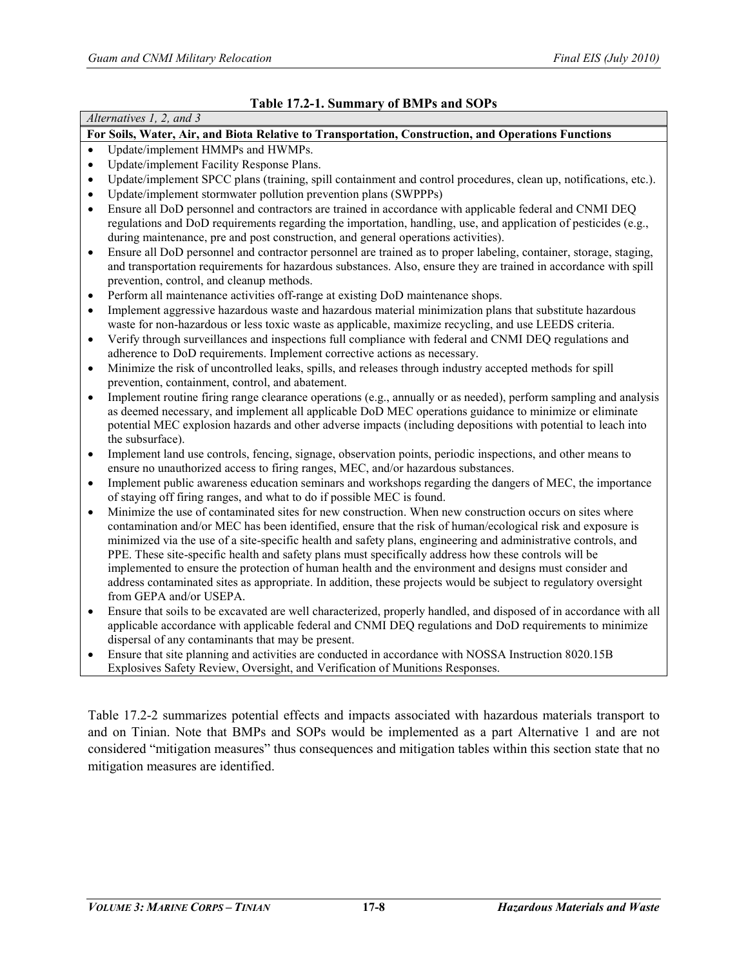| Alternatives 1, 2, and 3                                                                                                                                                                                                                                                                                                                                                                                                                                                                                                                                                                       |
|------------------------------------------------------------------------------------------------------------------------------------------------------------------------------------------------------------------------------------------------------------------------------------------------------------------------------------------------------------------------------------------------------------------------------------------------------------------------------------------------------------------------------------------------------------------------------------------------|
| For Soils, Water, Air, and Biota Relative to Transportation, Construction, and Operations Functions                                                                                                                                                                                                                                                                                                                                                                                                                                                                                            |
| Update/implement HMMPs and HWMPs.<br>$\bullet$                                                                                                                                                                                                                                                                                                                                                                                                                                                                                                                                                 |
| Update/implement Facility Response Plans.<br>$\bullet$                                                                                                                                                                                                                                                                                                                                                                                                                                                                                                                                         |
| Update/implement SPCC plans (training, spill containment and control procedures, clean up, notifications, etc.).<br>$\bullet$<br>Update/implement stormwater pollution prevention plans (SWPPPs)<br>$\bullet$                                                                                                                                                                                                                                                                                                                                                                                  |
| Ensure all DoD personnel and contractors are trained in accordance with applicable federal and CNMI DEQ<br>$\bullet$<br>regulations and DoD requirements regarding the importation, handling, use, and application of pesticides (e.g.,<br>during maintenance, pre and post construction, and general operations activities).                                                                                                                                                                                                                                                                  |
| Ensure all DoD personnel and contractor personnel are trained as to proper labeling, container, storage, staging,<br>$\bullet$<br>and transportation requirements for hazardous substances. Also, ensure they are trained in accordance with spill<br>prevention, control, and cleanup methods.                                                                                                                                                                                                                                                                                                |
| Perform all maintenance activities off-range at existing DoD maintenance shops.<br>$\bullet$                                                                                                                                                                                                                                                                                                                                                                                                                                                                                                   |
| Implement aggressive hazardous waste and hazardous material minimization plans that substitute hazardous<br>$\bullet$<br>waste for non-hazardous or less toxic waste as applicable, maximize recycling, and use LEEDS criteria.<br>Verify through surveillances and inspections full compliance with federal and CNMI DEQ regulations and<br>$\bullet$                                                                                                                                                                                                                                         |
| adherence to DoD requirements. Implement corrective actions as necessary.                                                                                                                                                                                                                                                                                                                                                                                                                                                                                                                      |
| Minimize the risk of uncontrolled leaks, spills, and releases through industry accepted methods for spill<br>$\bullet$<br>prevention, containment, control, and abatement.                                                                                                                                                                                                                                                                                                                                                                                                                     |
| Implement routine firing range clearance operations (e.g., annually or as needed), perform sampling and analysis<br>$\bullet$<br>as deemed necessary, and implement all applicable DoD MEC operations guidance to minimize or eliminate<br>potential MEC explosion hazards and other adverse impacts (including depositions with potential to leach into<br>the subsurface).                                                                                                                                                                                                                   |
| Implement land use controls, fencing, signage, observation points, periodic inspections, and other means to<br>$\bullet$<br>ensure no unauthorized access to firing ranges, MEC, and/or hazardous substances.                                                                                                                                                                                                                                                                                                                                                                                  |
| Implement public awareness education seminars and workshops regarding the dangers of MEC, the importance<br>$\bullet$<br>of staying off firing ranges, and what to do if possible MEC is found.                                                                                                                                                                                                                                                                                                                                                                                                |
| Minimize the use of contaminated sites for new construction. When new construction occurs on sites where<br>$\bullet$                                                                                                                                                                                                                                                                                                                                                                                                                                                                          |
| contamination and/or MEC has been identified, ensure that the risk of human/ecological risk and exposure is<br>minimized via the use of a site-specific health and safety plans, engineering and administrative controls, and<br>PPE. These site-specific health and safety plans must specifically address how these controls will be<br>implemented to ensure the protection of human health and the environment and designs must consider and<br>address contaminated sites as appropriate. In addition, these projects would be subject to regulatory oversight<br>from GEPA and/or USEPA. |
| Ensure that soils to be excavated are well characterized, properly handled, and disposed of in accordance with all<br>$\bullet$<br>applicable accordance with applicable federal and CNMI DEQ regulations and DoD requirements to minimize<br>dispersal of any contaminants that may be present.                                                                                                                                                                                                                                                                                               |

• Ensure that site planning and activities are conducted in accordance with NOSSA Instruction 8020.15B Explosives Safety Review, Oversight, and Verification of Munitions Responses.

Table 17.2-2 summarizes potential effects and impacts associated with hazardous materials transport to and on Tinian. Note that BMPs and SOPs would be implemented as a part Alternative 1 and are not considered "mitigation measures" thus consequences and mitigation tables within this section state that no mitigation measures are identified.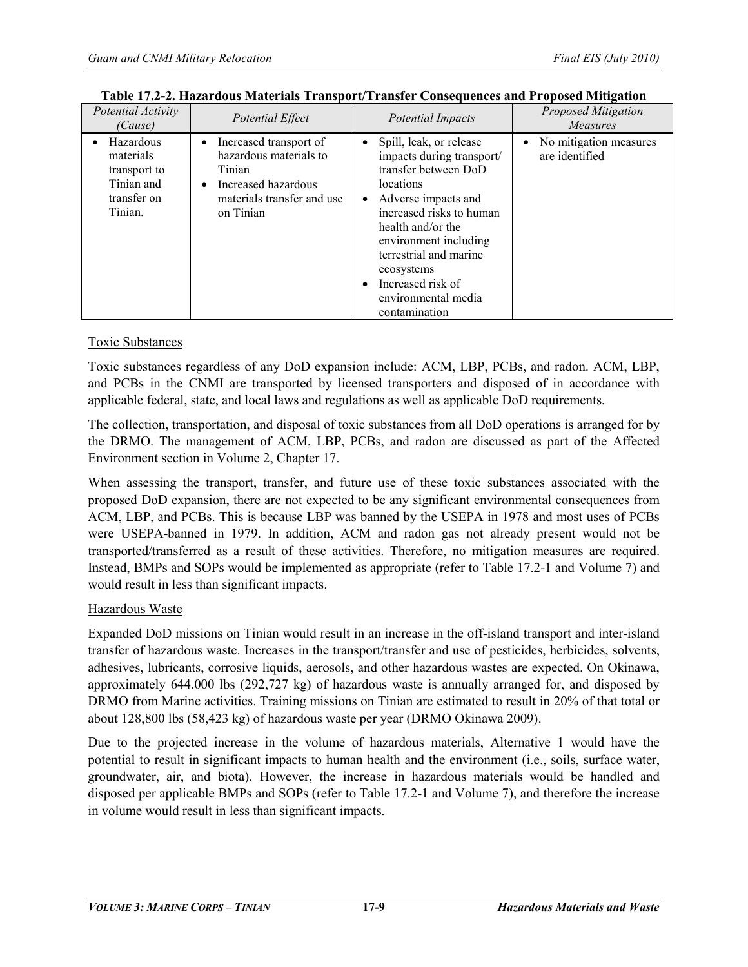| Potential Activity<br>(Cause)                                                  | Potential Effect                                                                                                                                       | <b>Potential Impacts</b>                                                                                                                                                                                                                                                                        | <b>Proposed Mitigation</b><br><i>Measures</i>         |
|--------------------------------------------------------------------------------|--------------------------------------------------------------------------------------------------------------------------------------------------------|-------------------------------------------------------------------------------------------------------------------------------------------------------------------------------------------------------------------------------------------------------------------------------------------------|-------------------------------------------------------|
| Hazardous<br>materials<br>transport to<br>Tinian and<br>transfer on<br>Tinian. | Increased transport of<br>$\bullet$<br>hazardous materials to<br>Tinian<br>Increased hazardous<br>$\bullet$<br>materials transfer and use<br>on Tinian | Spill, leak, or release<br>impacts during transport/<br>transfer between DoD<br>locations<br>Adverse impacts and<br>increased risks to human<br>health and/or the<br>environment including<br>terrestrial and marine<br>ecosystems<br>Increased risk of<br>environmental media<br>contamination | No mitigation measures<br>$\bullet$<br>are identified |

| Table 17.2-2. Hazardous Materials Transport/Transfer Consequences and Proposed Mitigation |
|-------------------------------------------------------------------------------------------|
|-------------------------------------------------------------------------------------------|

# Toxic Substances

Toxic substances regardless of any DoD expansion include: ACM, LBP, PCBs, and radon. ACM, LBP, and PCBs in the CNMI are transported by licensed transporters and disposed of in accordance with applicable federal, state, and local laws and regulations as well as applicable DoD requirements.

The collection, transportation, and disposal of toxic substances from all DoD operations is arranged for by the DRMO. The management of ACM, LBP, PCBs, and radon are discussed as part of the Affected Environment section in Volume 2, Chapter 17.

When assessing the transport, transfer, and future use of these toxic substances associated with the proposed DoD expansion, there are not expected to be any significant environmental consequences from ACM, LBP, and PCBs. This is because LBP was banned by the USEPA in 1978 and most uses of PCBs were USEPA-banned in 1979. In addition, ACM and radon gas not already present would not be transported/transferred as a result of these activities. Therefore, no mitigation measures are required. Instead, BMPs and SOPs would be implemented as appropriate (refer to Table 17.2-1 and Volume 7) and would result in less than significant impacts.

#### Hazardous Waste

Expanded DoD missions on Tinian would result in an increase in the off-island transport and inter-island transfer of hazardous waste. Increases in the transport/transfer and use of pesticides, herbicides, solvents, adhesives, lubricants, corrosive liquids, aerosols, and other hazardous wastes are expected. On Okinawa, approximately 644,000 lbs (292,727 kg) of hazardous waste is annually arranged for, and disposed by DRMO from Marine activities. Training missions on Tinian are estimated to result in 20% of that total or about 128,800 lbs (58,423 kg) of hazardous waste per year (DRMO Okinawa 2009).

Due to the projected increase in the volume of hazardous materials, Alternative 1 would have the potential to result in significant impacts to human health and the environment (i.e., soils, surface water, groundwater, air, and biota). However, the increase in hazardous materials would be handled and disposed per applicable BMPs and SOPs (refer to Table 17.2-1 and Volume 7), and therefore the increase in volume would result in less than significant impacts.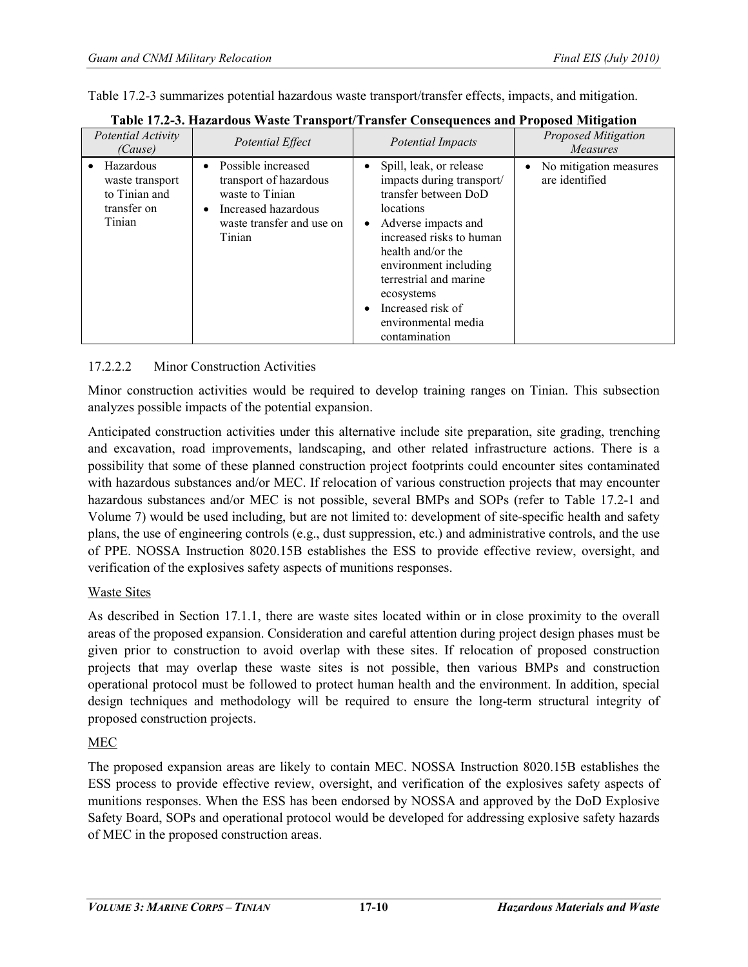Table 17.2-3 summarizes potential hazardous waste transport/transfer effects, impacts, and mitigation.

| Potential Activity<br>(Cause)                                          | Potential Effect                                                                                                                             | <b>Potential Impacts</b>                                                                                                                                                                                                                                                                        | Proposed Mitigation<br><b>Measures</b>                |
|------------------------------------------------------------------------|----------------------------------------------------------------------------------------------------------------------------------------------|-------------------------------------------------------------------------------------------------------------------------------------------------------------------------------------------------------------------------------------------------------------------------------------------------|-------------------------------------------------------|
| Hazardous<br>waste transport<br>to Tinian and<br>transfer on<br>Tinian | • Possible increased<br>transport of hazardous<br>waste to Tinian<br>Increased hazardous<br>$\bullet$<br>waste transfer and use on<br>Tinian | Spill, leak, or release<br>impacts during transport/<br>transfer between DoD<br>locations<br>Adverse impacts and<br>increased risks to human<br>health and/or the<br>environment including<br>terrestrial and marine<br>ecosystems<br>Increased risk of<br>environmental media<br>contamination | No mitigation measures<br>$\bullet$<br>are identified |

# **Table 17.2-3. Hazardous Waste Transport/Transfer Consequences and Proposed Mitigation**

# 17.2.2.2 Minor Construction Activities

Minor construction activities would be required to develop training ranges on Tinian. This subsection analyzes possible impacts of the potential expansion.

Anticipated construction activities under this alternative include site preparation, site grading, trenching and excavation, road improvements, landscaping, and other related infrastructure actions. There is a possibility that some of these planned construction project footprints could encounter sites contaminated with hazardous substances and/or MEC. If relocation of various construction projects that may encounter hazardous substances and/or MEC is not possible, several BMPs and SOPs (refer to Table 17.2-1 and Volume 7) would be used including, but are not limited to: development of site-specific health and safety plans, the use of engineering controls (e.g., dust suppression, etc.) and administrative controls, and the use of PPE. NOSSA Instruction 8020.15B establishes the ESS to provide effective review, oversight, and verification of the explosives safety aspects of munitions responses.

#### Waste Sites

As described in Section 17.1.1, there are waste sites located within or in close proximity to the overall areas of the proposed expansion. Consideration and careful attention during project design phases must be given prior to construction to avoid overlap with these sites. If relocation of proposed construction projects that may overlap these waste sites is not possible, then various BMPs and construction operational protocol must be followed to protect human health and the environment. In addition, special design techniques and methodology will be required to ensure the long-term structural integrity of proposed construction projects.

# MEC

The proposed expansion areas are likely to contain MEC. NOSSA Instruction 8020.15B establishes the ESS process to provide effective review, oversight, and verification of the explosives safety aspects of munitions responses. When the ESS has been endorsed by NOSSA and approved by the DoD Explosive Safety Board, SOPs and operational protocol would be developed for addressing explosive safety hazards of MEC in the proposed construction areas.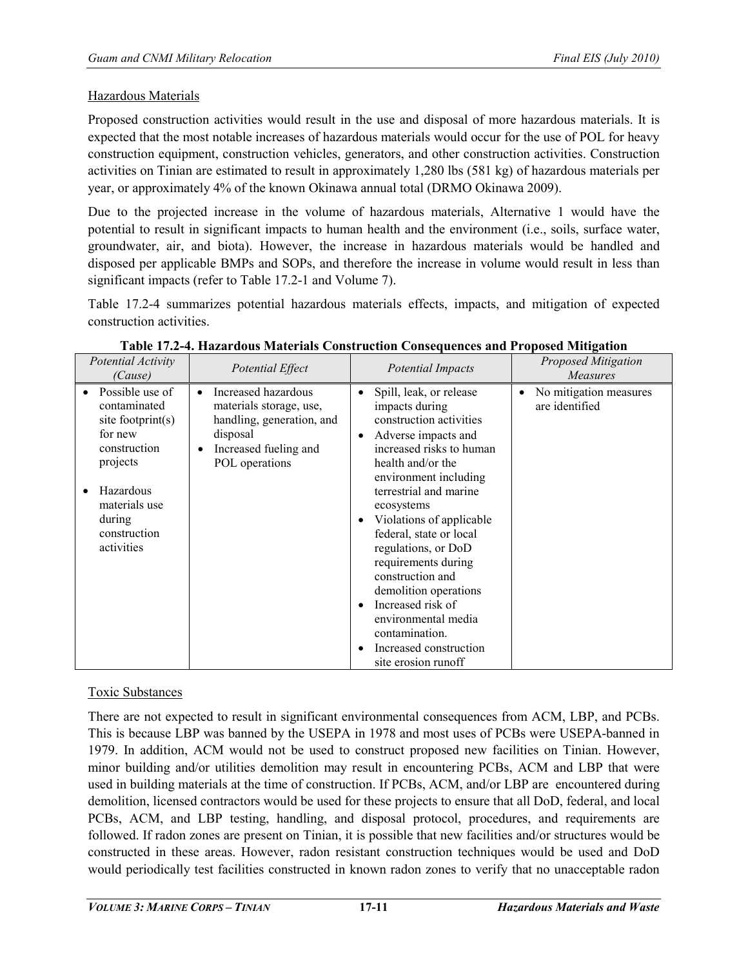## Hazardous Materials

Proposed construction activities would result in the use and disposal of more hazardous materials. It is expected that the most notable increases of hazardous materials would occur for the use of POL for heavy construction equipment, construction vehicles, generators, and other construction activities. Construction activities on Tinian are estimated to result in approximately 1,280 lbs (581 kg) of hazardous materials per year, or approximately 4% of the known Okinawa annual total (DRMO Okinawa 2009).

Due to the projected increase in the volume of hazardous materials, Alternative 1 would have the potential to result in significant impacts to human health and the environment (i.e., soils, surface water, groundwater, air, and biota). However, the increase in hazardous materials would be handled and disposed per applicable BMPs and SOPs, and therefore the increase in volume would result in less than significant impacts (refer to Table 17.2-1 and Volume 7).

Table 17.2-4 summarizes potential hazardous materials effects, impacts, and mitigation of expected construction activities.

| Potential Activity<br>(Cause)                                                                                                | Potential Effect                                                                                                                                | <b>Potential Impacts</b>                                                                                                                                                                                                                                                                     | <b>Proposed Mitigation</b><br><b>Measures</b> |
|------------------------------------------------------------------------------------------------------------------------------|-------------------------------------------------------------------------------------------------------------------------------------------------|----------------------------------------------------------------------------------------------------------------------------------------------------------------------------------------------------------------------------------------------------------------------------------------------|-----------------------------------------------|
| Possible use of<br>contaminated<br>site footprint $(s)$<br>for new<br>construction<br>projects<br>Hazardous<br>materials use | Increased hazardous<br>materials storage, use,<br>handling, generation, and<br>disposal<br>Increased fueling and<br>$\bullet$<br>POL operations | Spill, leak, or release<br>impacts during<br>construction activities<br>Adverse impacts and<br>$\bullet$<br>increased risks to human<br>health and/or the<br>environment including<br>terrestrial and marine<br>ecosystems                                                                   | No mitigation measures<br>are identified      |
| during<br>construction<br>activities                                                                                         |                                                                                                                                                 | Violations of applicable<br>٠<br>federal, state or local<br>regulations, or DoD<br>requirements during<br>construction and<br>demolition operations<br>Increased risk of<br>$\bullet$<br>environmental media<br>contamination.<br>Increased construction<br>$\bullet$<br>site erosion runoff |                                               |

|  |  |  | Table 17.2-4. Hazardous Materials Construction Consequences and Proposed Mitigation |
|--|--|--|-------------------------------------------------------------------------------------|
|  |  |  |                                                                                     |

# Toxic Substances

There are not expected to result in significant environmental consequences from ACM, LBP, and PCBs. This is because LBP was banned by the USEPA in 1978 and most uses of PCBs were USEPA-banned in 1979. In addition, ACM would not be used to construct proposed new facilities on Tinian. However, minor building and/or utilities demolition may result in encountering PCBs, ACM and LBP that were used in building materials at the time of construction. If PCBs, ACM, and/or LBP are encountered during demolition, licensed contractors would be used for these projects to ensure that all DoD, federal, and local PCBs, ACM, and LBP testing, handling, and disposal protocol, procedures, and requirements are followed. If radon zones are present on Tinian, it is possible that new facilities and/or structures would be constructed in these areas. However, radon resistant construction techniques would be used and DoD would periodically test facilities constructed in known radon zones to verify that no unacceptable radon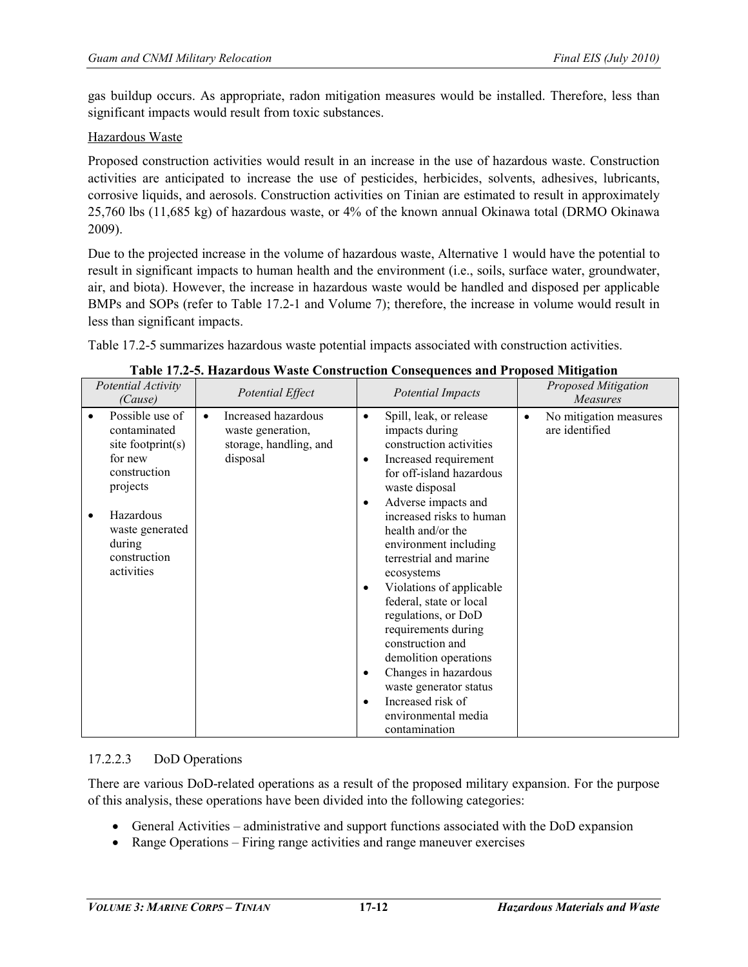gas buildup occurs. As appropriate, radon mitigation measures would be installed. Therefore, less than significant impacts would result from toxic substances.

#### Hazardous Waste

Proposed construction activities would result in an increase in the use of hazardous waste. Construction activities are anticipated to increase the use of pesticides, herbicides, solvents, adhesives, lubricants, corrosive liquids, and aerosols. Construction activities on Tinian are estimated to result in approximately 25,760 lbs (11,685 kg) of hazardous waste, or 4% of the known annual Okinawa total (DRMO Okinawa 2009).

Due to the projected increase in the volume of hazardous waste, Alternative 1 would have the potential to result in significant impacts to human health and the environment (i.e., soils, surface water, groundwater, air, and biota). However, the increase in hazardous waste would be handled and disposed per applicable BMPs and SOPs (refer to Table 17.2-1 and Volume 7); therefore, the increase in volume would result in less than significant impacts.

Table 17.2-5 summarizes hazardous waste potential impacts associated with construction activities.

| Potential Activity<br>(Cause)                                                                                                                                       | Potential Effect                                                                            | <b>Potential Impacts</b>                                                                                                                                                                                                                                                                                                                                                                                                                                                                                                                                                                                       | <b>Proposed Mitigation</b><br>Measures                |
|---------------------------------------------------------------------------------------------------------------------------------------------------------------------|---------------------------------------------------------------------------------------------|----------------------------------------------------------------------------------------------------------------------------------------------------------------------------------------------------------------------------------------------------------------------------------------------------------------------------------------------------------------------------------------------------------------------------------------------------------------------------------------------------------------------------------------------------------------------------------------------------------------|-------------------------------------------------------|
| Possible use of<br>contaminated<br>site footprint(s)<br>for new<br>construction<br>projects<br>Hazardous<br>waste generated<br>during<br>construction<br>activities | Increased hazardous<br>$\bullet$<br>waste generation,<br>storage, handling, and<br>disposal | Spill, leak, or release<br>$\bullet$<br>impacts during<br>construction activities<br>Increased requirement<br>$\bullet$<br>for off-island hazardous<br>waste disposal<br>Adverse impacts and<br>٠<br>increased risks to human<br>health and/or the<br>environment including<br>terrestrial and marine<br>ecosystems<br>Violations of applicable<br>$\bullet$<br>federal, state or local<br>regulations, or DoD<br>requirements during<br>construction and<br>demolition operations<br>Changes in hazardous<br>$\bullet$<br>waste generator status<br>Increased risk of<br>environmental media<br>contamination | No mitigation measures<br>$\bullet$<br>are identified |

**Table 17.2-5. Hazardous Waste Construction Consequences and Proposed Mitigation**

# 17.2.2.3 DoD Operations

There are various DoD-related operations as a result of the proposed military expansion. For the purpose of this analysis, these operations have been divided into the following categories:

- General Activities administrative and support functions associated with the DoD expansion
- Range Operations Firing range activities and range maneuver exercises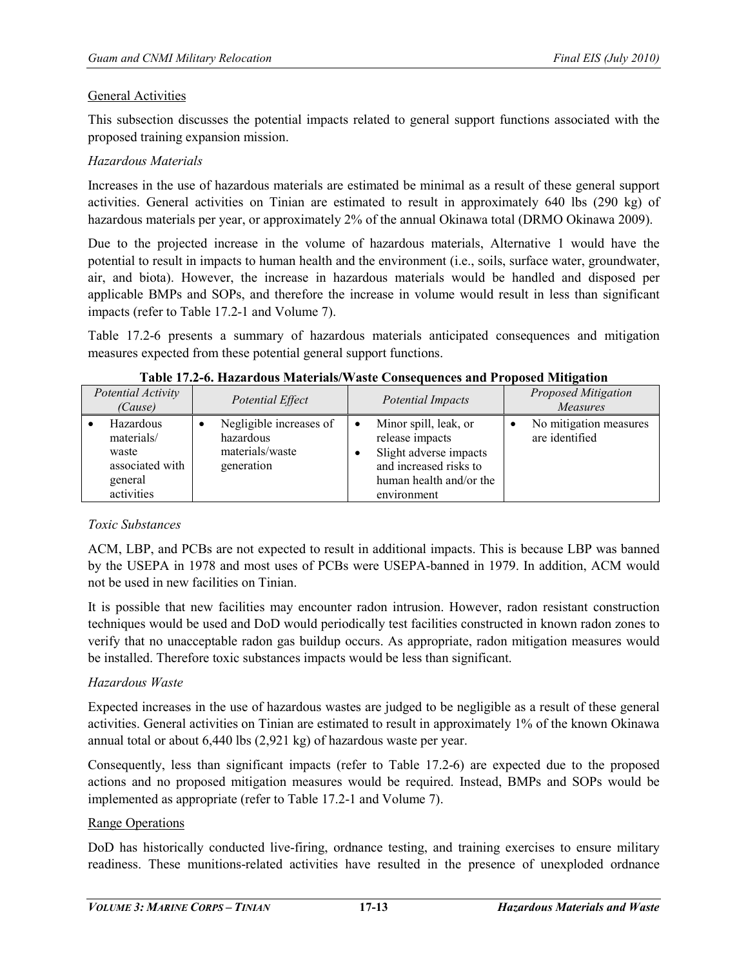#### General Activities

This subsection discusses the potential impacts related to general support functions associated with the proposed training expansion mission.

#### *Hazardous Materials*

Increases in the use of hazardous materials are estimated be minimal as a result of these general support activities. General activities on Tinian are estimated to result in approximately 640 lbs (290 kg) of hazardous materials per year, or approximately 2% of the annual Okinawa total (DRMO Okinawa 2009).

Due to the projected increase in the volume of hazardous materials, Alternative 1 would have the potential to result in impacts to human health and the environment (i.e., soils, surface water, groundwater, air, and biota). However, the increase in hazardous materials would be handled and disposed per applicable BMPs and SOPs, and therefore the increase in volume would result in less than significant impacts (refer to Table 17.2-1 and Volume 7).

Table 17.2-6 presents a summary of hazardous materials anticipated consequences and mitigation measures expected from these potential general support functions.

| Potential Activity<br>(Cause)                                                | Potential Effect                                                      |        | <b>Potential Impacts</b>                                                                                                               | <b>Proposed Mitigation</b><br><b>Measures</b> |
|------------------------------------------------------------------------------|-----------------------------------------------------------------------|--------|----------------------------------------------------------------------------------------------------------------------------------------|-----------------------------------------------|
| Hazardous<br>materials/<br>waste<br>associated with<br>general<br>activities | Negligible increases of<br>hazardous<br>materials/waste<br>generation | ٠<br>٠ | Minor spill, leak, or<br>release impacts<br>Slight adverse impacts<br>and increased risks to<br>human health and/or the<br>environment | No mitigation measures<br>are identified      |

**Table 17.2-6. Hazardous Materials/Waste Consequences and Proposed Mitigation**

#### *Toxic Substances*

ACM, LBP, and PCBs are not expected to result in additional impacts. This is because LBP was banned by the USEPA in 1978 and most uses of PCBs were USEPA-banned in 1979. In addition, ACM would not be used in new facilities on Tinian.

It is possible that new facilities may encounter radon intrusion. However, radon resistant construction techniques would be used and DoD would periodically test facilities constructed in known radon zones to verify that no unacceptable radon gas buildup occurs. As appropriate, radon mitigation measures would be installed. Therefore toxic substances impacts would be less than significant.

#### *Hazardous Waste*

Expected increases in the use of hazardous wastes are judged to be negligible as a result of these general activities. General activities on Tinian are estimated to result in approximately 1% of the known Okinawa annual total or about 6,440 lbs (2,921 kg) of hazardous waste per year.

Consequently, less than significant impacts (refer to Table 17.2-6) are expected due to the proposed actions and no proposed mitigation measures would be required. Instead, BMPs and SOPs would be implemented as appropriate (refer to Table 17.2-1 and Volume 7).

#### Range Operations

DoD has historically conducted live-firing, ordnance testing, and training exercises to ensure military readiness. These munitions-related activities have resulted in the presence of unexploded ordnance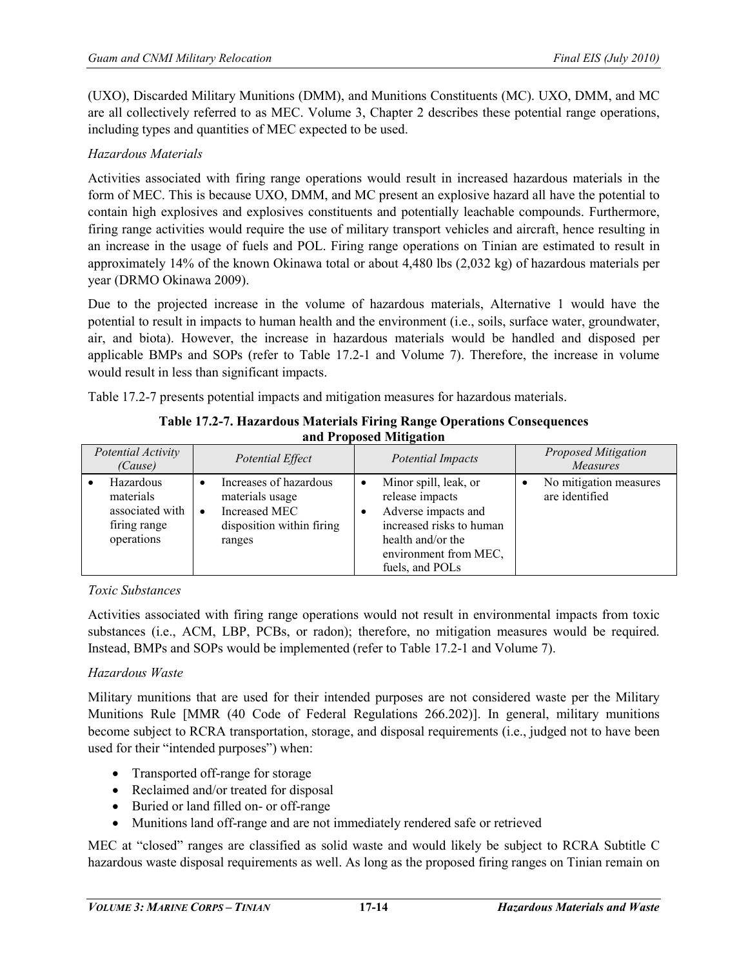(UXO), Discarded Military Munitions (DMM), and Munitions Constituents (MC). UXO, DMM, and MC are all collectively referred to as MEC. Volume 3, Chapter 2 describes these potential range operations, including types and quantities of MEC expected to be used.

# *Hazardous Materials*

Activities associated with firing range operations would result in increased hazardous materials in the form of MEC. This is because UXO, DMM, and MC present an explosive hazard all have the potential to contain high explosives and explosives constituents and potentially leachable compounds. Furthermore, firing range activities would require the use of military transport vehicles and aircraft, hence resulting in an increase in the usage of fuels and POL. Firing range operations on Tinian are estimated to result in approximately 14% of the known Okinawa total or about 4,480 lbs (2,032 kg) of hazardous materials per year (DRMO Okinawa 2009).

Due to the projected increase in the volume of hazardous materials, Alternative 1 would have the potential to result in impacts to human health and the environment (i.e., soils, surface water, groundwater, air, and biota). However, the increase in hazardous materials would be handled and disposed per applicable BMPs and SOPs (refer to Table 17.2-1 and Volume 7). Therefore, the increase in volume would result in less than significant impacts.

Table 17.2-7 presents potential impacts and mitigation measures for hazardous materials.

| and Froposed Muugation                                                  |           |                                                                                                   |           |                                                                                                                                                              |  |                                               |  |  |
|-------------------------------------------------------------------------|-----------|---------------------------------------------------------------------------------------------------|-----------|--------------------------------------------------------------------------------------------------------------------------------------------------------------|--|-----------------------------------------------|--|--|
| Potential Activity<br>(Cause)                                           |           | Potential Effect                                                                                  |           | <b>Potential Impacts</b>                                                                                                                                     |  | <b>Proposed Mitigation</b><br><b>Measures</b> |  |  |
| Hazardous<br>materials<br>associated with<br>firing range<br>operations | $\bullet$ | Increases of hazardous<br>materials usage<br>Increased MEC<br>disposition within firing<br>ranges | $\bullet$ | Minor spill, leak, or<br>release impacts<br>Adverse impacts and<br>increased risks to human<br>health and/or the<br>environment from MEC,<br>fuels, and POLs |  | No mitigation measures<br>are identified      |  |  |

| <b>Table 17.2-7. Hazardous Materials Firing Range Operations Consequences</b> |  |
|-------------------------------------------------------------------------------|--|
| and Proposed Mitigation                                                       |  |

#### *Toxic Substances*

Activities associated with firing range operations would not result in environmental impacts from toxic substances (i.e., ACM, LBP, PCBs, or radon); therefore, no mitigation measures would be required. Instead, BMPs and SOPs would be implemented (refer to Table 17.2-1 and Volume 7).

#### *Hazardous Waste*

Military munitions that are used for their intended purposes are not considered waste per the Military Munitions Rule [MMR (40 Code of Federal Regulations 266.202)]. In general, military munitions become subject to RCRA transportation, storage, and disposal requirements (i.e., judged not to have been used for their "intended purposes") when:

- Transported off-range for storage
- Reclaimed and/or treated for disposal
- Buried or land filled on- or off-range
- Munitions land off-range and are not immediately rendered safe or retrieved

MEC at "closed" ranges are classified as solid waste and would likely be subject to RCRA Subtitle C hazardous waste disposal requirements as well. As long as the proposed firing ranges on Tinian remain on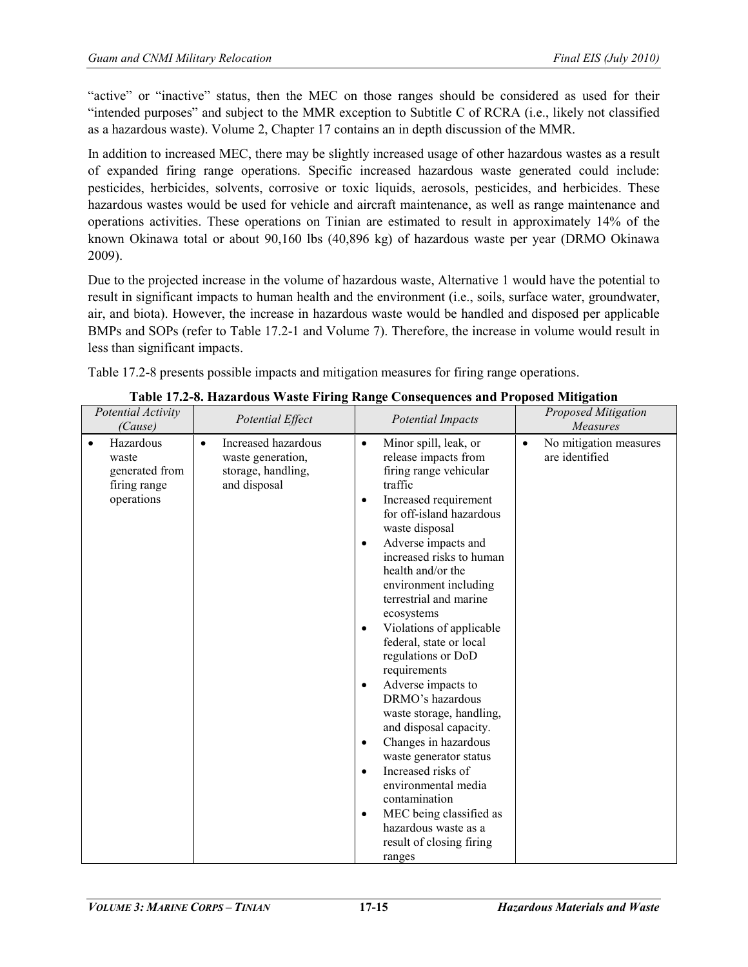"active" or "inactive" status, then the MEC on those ranges should be considered as used for their "intended purposes" and subject to the MMR exception to Subtitle C of RCRA (i.e., likely not classified as a hazardous waste). Volume 2, Chapter 17 contains an in depth discussion of the MMR.

In addition to increased MEC, there may be slightly increased usage of other hazardous wastes as a result of expanded firing range operations. Specific increased hazardous waste generated could include: pesticides, herbicides, solvents, corrosive or toxic liquids, aerosols, pesticides, and herbicides. These hazardous wastes would be used for vehicle and aircraft maintenance, as well as range maintenance and operations activities. These operations on Tinian are estimated to result in approximately 14% of the known Okinawa total or about 90,160 lbs (40,896 kg) of hazardous waste per year (DRMO Okinawa 2009).

Due to the projected increase in the volume of hazardous waste, Alternative 1 would have the potential to result in significant impacts to human health and the environment (i.e., soils, surface water, groundwater, air, and biota). However, the increase in hazardous waste would be handled and disposed per applicable BMPs and SOPs (refer to Table 17.2-1 and Volume 7). Therefore, the increase in volume would result in less than significant impacts.

Table 17.2-8 presents possible impacts and mitigation measures for firing range operations.

| Potential Activity<br>(Cause)                                                   | Potential Effect                                                                            | <b>Potential Impacts</b>                                                                                                                                                                                                                                                                                                                                                                                                                                                                                                                                                                                                                                                                                                                                                  | <b>Proposed Mitigation</b><br>Measures                |
|---------------------------------------------------------------------------------|---------------------------------------------------------------------------------------------|---------------------------------------------------------------------------------------------------------------------------------------------------------------------------------------------------------------------------------------------------------------------------------------------------------------------------------------------------------------------------------------------------------------------------------------------------------------------------------------------------------------------------------------------------------------------------------------------------------------------------------------------------------------------------------------------------------------------------------------------------------------------------|-------------------------------------------------------|
| Hazardous<br>$\bullet$<br>waste<br>generated from<br>firing range<br>operations | Increased hazardous<br>$\bullet$<br>waste generation,<br>storage, handling,<br>and disposal | Minor spill, leak, or<br>$\bullet$<br>release impacts from<br>firing range vehicular<br>traffic<br>Increased requirement<br>$\bullet$<br>for off-island hazardous<br>waste disposal<br>Adverse impacts and<br>$\bullet$<br>increased risks to human<br>health and/or the<br>environment including<br>terrestrial and marine<br>ecosystems<br>Violations of applicable<br>federal, state or local<br>regulations or DoD<br>requirements<br>Adverse impacts to<br>$\bullet$<br>DRMO's hazardous<br>waste storage, handling,<br>and disposal capacity.<br>Changes in hazardous<br>waste generator status<br>Increased risks of<br>$\bullet$<br>environmental media<br>contamination<br>MEC being classified as<br>hazardous waste as a<br>result of closing firing<br>ranges | No mitigation measures<br>$\bullet$<br>are identified |

**Table 17.2-8. Hazardous Waste Firing Range Consequences and Proposed Mitigation**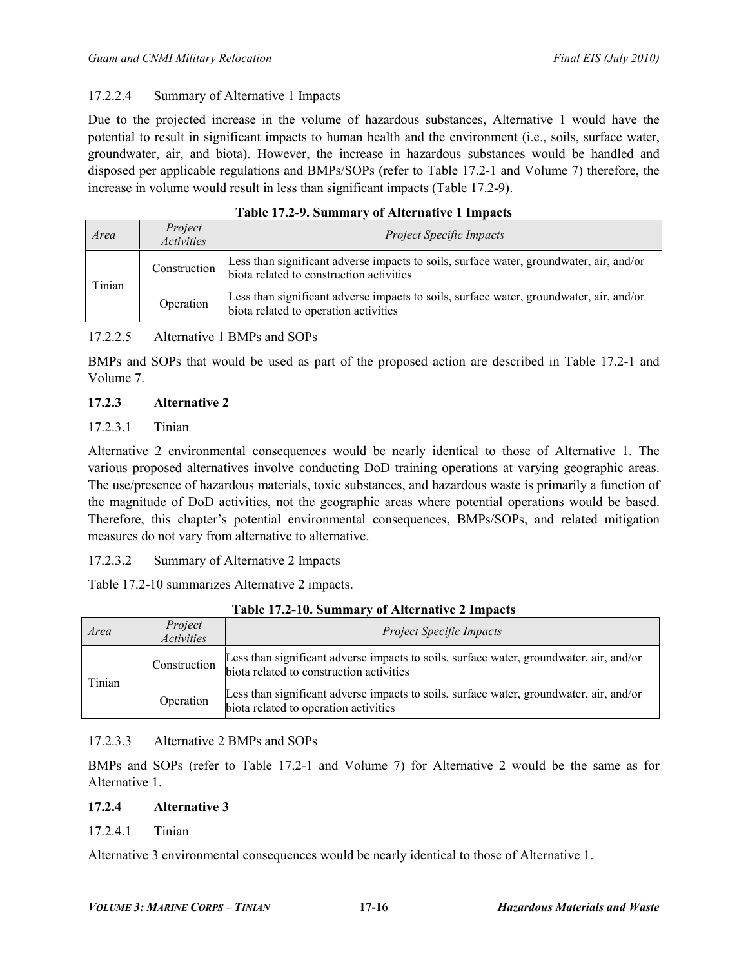#### 17.2.2.4 Summary of Alternative 1 Impacts

Due to the projected increase in the volume of hazardous substances, Alternative 1 would have the potential to result in significant impacts to human health and the environment (i.e., soils, surface water, groundwater, air, and biota). However, the increase in hazardous substances would be handled and disposed per applicable regulations and BMPs/SOPs (refer to Table 17.2-1 and Volume 7) therefore, the increase in volume would result in less than significant impacts (Table 17.2-9).

| таріў трагодніццага і тараганала тапраўс |                              |                                                                                                                                     |  |
|------------------------------------------|------------------------------|-------------------------------------------------------------------------------------------------------------------------------------|--|
| Area                                     | Project<br><i>Activities</i> | <b>Project Specific Impacts</b>                                                                                                     |  |
| Tinian                                   | Construction                 | Less than significant adverse impacts to soils, surface water, groundwater, air, and/or<br>biota related to construction activities |  |
|                                          | Operation                    | Less than significant adverse impacts to soils, surface water, groundwater, air, and/or<br>biota related to operation activities    |  |

# **Table 17.2-9. Summary of Alternative 1 Impacts**

# 17.2.2.5 Alternative 1 BMPs and SOPs

BMPs and SOPs that would be used as part of the proposed action are described in Table 17.2-1 and Volume 7.

#### **17.2.3 Alternative 2**

# 17.2.3.1 Tinian

Alternative 2 environmental consequences would be nearly identical to those of Alternative 1. The various proposed alternatives involve conducting DoD training operations at varying geographic areas. The use/presence of hazardous materials, toxic substances, and hazardous waste is primarily a function of the magnitude of DoD activities, not the geographic areas where potential operations would be based. Therefore, this chapter's potential environmental consequences, BMPs/SOPs, and related mitigation measures do not vary from alternative to alternative.

17.2.3.2 Summary of Alternative 2 Impacts

Table 17.2-10 summarizes Alternative 2 impacts.

| Area   | Project<br><i>Activities</i> | <b>Project Specific Impacts</b>                                                                                                     |  |  |  |
|--------|------------------------------|-------------------------------------------------------------------------------------------------------------------------------------|--|--|--|
| Tinian | Construction                 | Less than significant adverse impacts to soils, surface water, groundwater, air, and/or<br>biota related to construction activities |  |  |  |
|        | Operation                    | Less than significant adverse impacts to soils, surface water, groundwater, air, and/or<br>biota related to operation activities    |  |  |  |

#### **Table 17.2-10. Summary of Alternative 2 Impacts**

#### 17.2.3.3 Alternative 2 BMPs and SOPs

BMPs and SOPs (refer to Table 17.2-1 and Volume 7) for Alternative 2 would be the same as for Alternative 1.

#### **17.2.4 Alternative 3**

17.2.4.1 Tinian

Alternative 3 environmental consequences would be nearly identical to those of Alternative 1.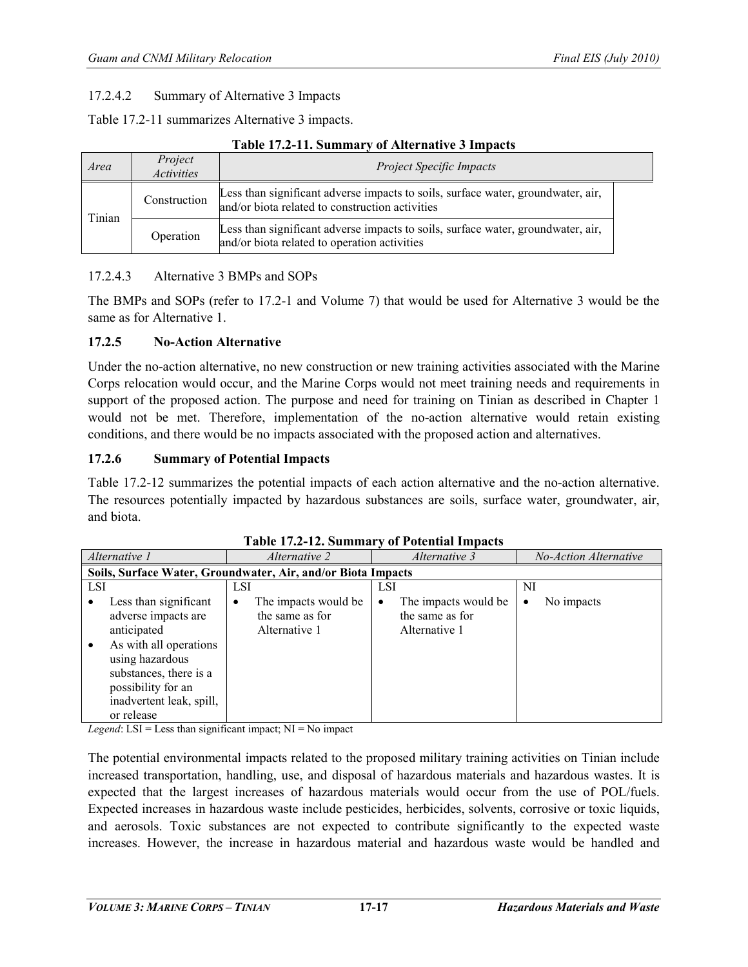## 17.2.4.2 Summary of Alternative 3 Impacts

Table 17.2-11 summarizes Alternative 3 impacts.

#### **Table 17.2-11. Summary of Alternative 3 Impacts**

| Area   | Project<br><i>Activities</i> | <b>Project Specific Impacts</b>                                                                                                     |  |  |
|--------|------------------------------|-------------------------------------------------------------------------------------------------------------------------------------|--|--|
| Tinian | Construction                 | Less than significant adverse impacts to soils, surface water, groundwater, air,<br>and/or biota related to construction activities |  |  |
|        | Operation                    | Less than significant adverse impacts to soils, surface water, groundwater, air,<br>and/or biota related to operation activities    |  |  |

#### 17.2.4.3 Alternative 3 BMPs and SOPs

The BMPs and SOPs (refer to 17.2-1 and Volume 7) that would be used for Alternative 3 would be the same as for Alternative 1.

#### **17.2.5 No-Action Alternative**

Under the no-action alternative, no new construction or new training activities associated with the Marine Corps relocation would occur, and the Marine Corps would not meet training needs and requirements in support of the proposed action. The purpose and need for training on Tinian as described in Chapter 1 would not be met. Therefore, implementation of the no-action alternative would retain existing conditions, and there would be no impacts associated with the proposed action and alternatives.

#### **17.2.6 Summary of Potential Impacts**

Table 17.2-12 summarizes the potential impacts of each action alternative and the no-action alternative. The resources potentially impacted by hazardous substances are soils, surface water, groundwater, air, and biota.

| Alternative 1 |                                                                                                                                                                                                    | <i>Alternative 2</i> |                                                          | Alternative 3 |                                                          | No-Action Alternative |            |
|---------------|----------------------------------------------------------------------------------------------------------------------------------------------------------------------------------------------------|----------------------|----------------------------------------------------------|---------------|----------------------------------------------------------|-----------------------|------------|
|               | Soils, Surface Water, Groundwater, Air, and/or Biota Impacts                                                                                                                                       |                      |                                                          |               |                                                          |                       |            |
| <b>LSI</b>    |                                                                                                                                                                                                    | LSI                  |                                                          | LSI           |                                                          | NI                    |            |
| ٠             | Less than significant<br>adverse impacts are<br>anticipated<br>As with all operations<br>using hazardous<br>substances, there is a<br>possibility for an<br>inadvertent leak, spill,<br>or release | ٠                    | The impacts would be<br>the same as for<br>Alternative 1 | $\bullet$     | The impacts would be<br>the same as for<br>Alternative 1 | ٠                     | No impacts |

| Table 17.2-12. Summary of Potential Impacts |  |
|---------------------------------------------|--|
|---------------------------------------------|--|

*Legend*:  $LSI = Less than significant impact; NI = No impact$ 

The potential environmental impacts related to the proposed military training activities on Tinian include increased transportation, handling, use, and disposal of hazardous materials and hazardous wastes. It is expected that the largest increases of hazardous materials would occur from the use of POL/fuels. Expected increases in hazardous waste include pesticides, herbicides, solvents, corrosive or toxic liquids, and aerosols. Toxic substances are not expected to contribute significantly to the expected waste increases. However, the increase in hazardous material and hazardous waste would be handled and